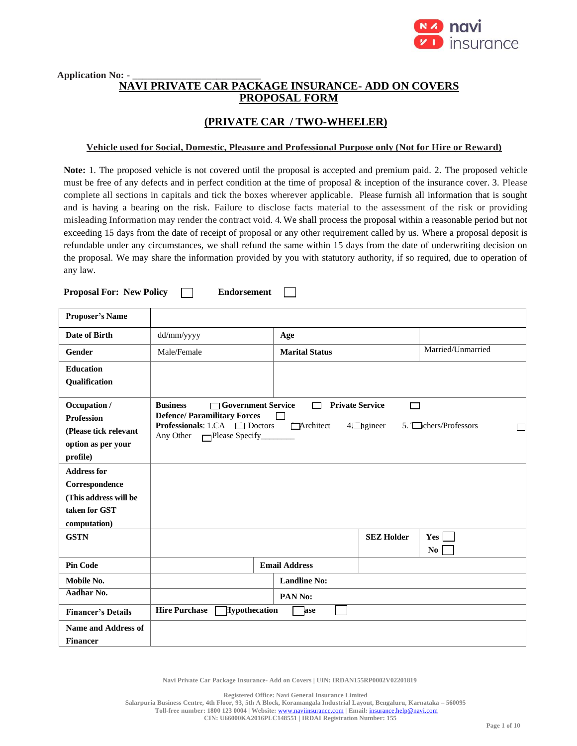

### Application No: -**NAVI PRIVATE CAR PACKAGE INSURANCE- ADD ON COVERS PROPOSAL FORM**

# **(PRIVATE CAR / TWO-WHEELER)**

## **Vehicle used for Social, Domestic, Pleasure and Professional Purpose only (Not for Hire or Reward)**

**Note:** 1. The proposed vehicle is not covered until the proposal is accepted and premium paid. 2. The proposed vehicle must be free of any defects and in perfect condition at the time of proposal & inception of the insurance cover. 3. Please complete all sections in capitals and tick the boxes wherever applicable. Please furnish all information that is sought and is having a bearing on the risk. Failure to disclose facts material to the assessment of the risk or providing misleading Information may render the contract void. 4. We shall process the proposal within a reasonable period but not exceeding 15 days from the date of receipt of proposal or any other requirement called by us. Where a proposal deposit is refundable under any circumstances, we shall refund the same within 15 days from the date of underwriting decision on the proposal. We may share the information provided by you with statutory authority, if so required, due to operation of any law.

**Proposal For: New Policy Endorsement**  $\mathbf{I}$ 

| <b>Proposer's Name</b>                                                                         |                                                                                                                                                        |                       |                                            |                       |
|------------------------------------------------------------------------------------------------|--------------------------------------------------------------------------------------------------------------------------------------------------------|-----------------------|--------------------------------------------|-----------------------|
| <b>Date of Birth</b>                                                                           | dd/mm/yyyy                                                                                                                                             | Age                   |                                            |                       |
| Gender                                                                                         | Male/Female                                                                                                                                            | <b>Marital Status</b> |                                            | Married/Unmarried     |
| <b>Education</b><br>Qualification                                                              |                                                                                                                                                        |                       |                                            |                       |
| Occupation /<br><b>Profession</b><br>(Please tick relevant<br>option as per your<br>profile)   | <b>Business</b><br>□ Government Service<br><b>Defence/Paramilitary Forces</b><br><b>Professionals:</b> 1.CA $\Box$ Doctors<br>Any Other Please Specify | <b>TArchitect</b>     | <b>Private Service</b><br>□<br>$4$ hgineer | 5. Chers/Professors   |
| <b>Address for</b><br>Correspondence<br>(This address will be<br>taken for GST<br>computation) |                                                                                                                                                        |                       |                                            |                       |
| <b>GSTN</b>                                                                                    |                                                                                                                                                        |                       | <b>SEZ Holder</b>                          | Yes<br>N <sub>0</sub> |
| <b>Pin Code</b>                                                                                |                                                                                                                                                        | <b>Email Address</b>  |                                            |                       |
| Mobile No.                                                                                     |                                                                                                                                                        | <b>Landline No:</b>   |                                            |                       |
| Aadhar No.                                                                                     |                                                                                                                                                        | PAN No:               |                                            |                       |
| <b>Financer's Details</b>                                                                      | <b>Hire Purchase</b><br>Hypothecation                                                                                                                  | ase                   |                                            |                       |
| Name and Address of<br><b>Financer</b>                                                         |                                                                                                                                                        |                       |                                            |                       |

**Navi Private Car Package Insurance- Add on Covers | UIN: IRDAN155RP0002V02201819**

**Registered Office: Navi General Insurance Limited Salarpuria Business Centre, 4th Floor, 93, 5th A Block, Koramangala Industrial Layout, Bengaluru, Karnataka – 560095 Toll-free number: 1800 123 0004 | Website:** [www.naviinsurance.com](http://www.naviinsurance.com/) **| Email:** [insurance.help@navi.com](mailto:insurance.help@navi.com) **CIN: U66000KA2016PLC148551 | IRDAI Registration Number: 155**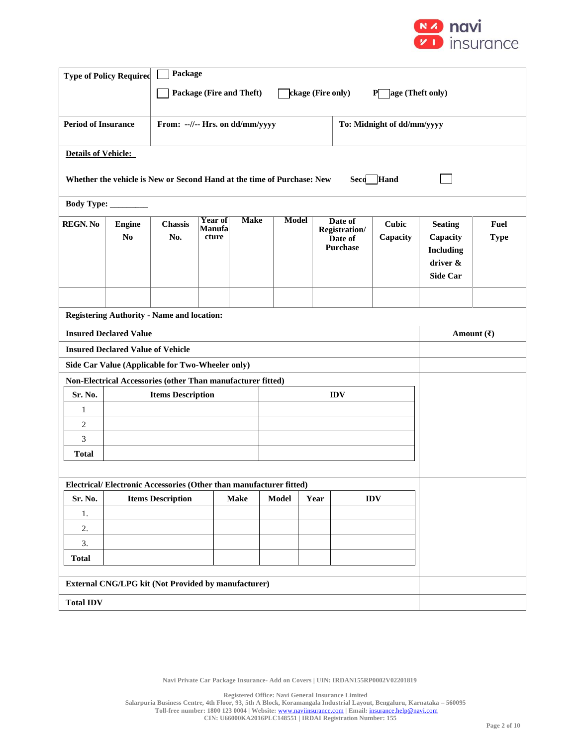

|                                                                                        | Package<br><b>Type of Policy Required</b>                              |                                                             |                   |             |              |      |                                 |                            |                                  |             |
|----------------------------------------------------------------------------------------|------------------------------------------------------------------------|-------------------------------------------------------------|-------------------|-------------|--------------|------|---------------------------------|----------------------------|----------------------------------|-------------|
|                                                                                        | Package (Fire and Theft)<br>ckage (Fire only)<br>age (Theft only)<br>P |                                                             |                   |             |              |      |                                 |                            |                                  |             |
|                                                                                        |                                                                        |                                                             |                   |             |              |      |                                 |                            |                                  |             |
| <b>Period of Insurance</b>                                                             |                                                                        | From: --//-- Hrs. on dd/mm/yyyy                             |                   |             |              |      |                                 | To: Midnight of dd/mm/yyyy |                                  |             |
|                                                                                        |                                                                        |                                                             |                   |             |              |      |                                 |                            |                                  |             |
| <b>Details of Vehicle:</b>                                                             |                                                                        |                                                             |                   |             |              |      |                                 |                            |                                  |             |
| Hand<br>Whether the vehicle is New or Second Hand at the time of Purchase: New<br>Seco |                                                                        |                                                             |                   |             |              |      |                                 |                            |                                  |             |
| <b>Body Type:</b>                                                                      |                                                                        |                                                             |                   |             |              |      |                                 |                            |                                  |             |
| <b>REGN. No</b>                                                                        | <b>Engine</b>                                                          | Chassis                                                     | Year of<br>Manufa | <b>Make</b> | <b>Model</b> |      | Date of                         | <b>Cubic</b>               | <b>Seating</b>                   | Fuel        |
|                                                                                        | N <sub>0</sub>                                                         | No.                                                         | cture             |             |              |      | <b>Registration/</b><br>Date of | Capacity                   | Capacity                         | <b>Type</b> |
|                                                                                        |                                                                        |                                                             |                   |             |              |      | <b>Purchase</b>                 |                            | <b>Including</b>                 |             |
|                                                                                        |                                                                        |                                                             |                   |             |              |      |                                 |                            | driver &<br><b>Side Car</b>      |             |
|                                                                                        |                                                                        |                                                             |                   |             |              |      |                                 |                            |                                  |             |
|                                                                                        |                                                                        |                                                             |                   |             |              |      |                                 |                            |                                  |             |
|                                                                                        |                                                                        | <b>Registering Authority - Name and location:</b>           |                   |             |              |      |                                 |                            |                                  |             |
| <b>Insured Declared Value</b>                                                          |                                                                        |                                                             |                   |             |              |      |                                 |                            | Amount $(\overline{\mathbf{x}})$ |             |
|                                                                                        | <b>Insured Declared Value of Vehicle</b>                               |                                                             |                   |             |              |      |                                 |                            |                                  |             |
|                                                                                        |                                                                        | Side Car Value (Applicable for Two-Wheeler only)            |                   |             |              |      |                                 |                            |                                  |             |
|                                                                                        |                                                                        | Non-Electrical Accessories (other Than manufacturer fitted) |                   |             |              |      |                                 |                            |                                  |             |
| Sr. No.<br>1                                                                           |                                                                        | <b>Items Description</b>                                    |                   |             |              |      | <b>IDV</b>                      |                            |                                  |             |
| 2                                                                                      |                                                                        |                                                             |                   |             |              |      |                                 |                            |                                  |             |
| 3                                                                                      |                                                                        |                                                             |                   |             |              |      |                                 |                            |                                  |             |
| <b>Total</b>                                                                           |                                                                        |                                                             |                   |             |              |      |                                 |                            |                                  |             |
|                                                                                        |                                                                        |                                                             |                   |             |              |      |                                 |                            |                                  |             |
|                                                                                        | Electrical/Electronic Accessories (Other than manufacturer fitted)     |                                                             |                   |             |              |      |                                 |                            |                                  |             |
| Sr. No.                                                                                |                                                                        | <b>Items Description</b>                                    |                   | <b>Make</b> | Model        | Year |                                 | $\mathbf{IDV}$             |                                  |             |
| 1.                                                                                     |                                                                        |                                                             |                   |             |              |      |                                 |                            |                                  |             |
| 2.<br>3.                                                                               |                                                                        |                                                             |                   |             |              |      |                                 |                            |                                  |             |
| <b>Total</b>                                                                           |                                                                        |                                                             |                   |             |              |      |                                 |                            |                                  |             |
|                                                                                        |                                                                        |                                                             |                   |             |              |      |                                 |                            |                                  |             |
| <b>External CNG/LPG kit (Not Provided by manufacturer)</b>                             |                                                                        |                                                             |                   |             |              |      |                                 |                            |                                  |             |
| <b>Total IDV</b>                                                                       |                                                                        |                                                             |                   |             |              |      |                                 |                            |                                  |             |

**Registered Office: Navi General Insurance Limited Salarpuria Business Centre, 4th Floor, 93, 5th A Block, Koramangala Industrial Layout, Bengaluru, Karnataka – 560095 Toll-free number: 1800 123 0004 | Website:** [www.naviinsurance.com](http://www.naviinsurance.com/) **| Email:** [insurance.help@navi.com](mailto:insurance.help@navi.com) **CIN: U66000KA2016PLC148551 | IRDAI Registration Number: 155**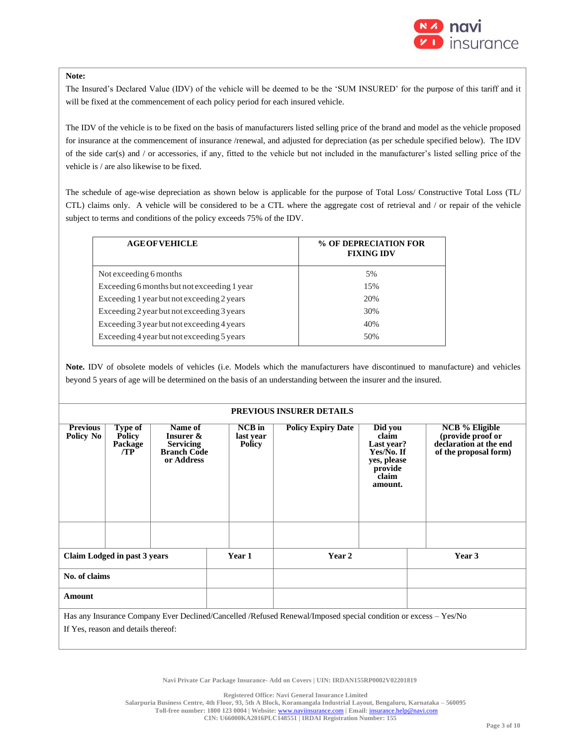

#### **Note:**

The Insured's Declared Value (IDV) of the vehicle will be deemed to be the 'SUM INSURED' for the purpose of this tariff and it will be fixed at the commencement of each policy period for each insured vehicle.

The IDV of the vehicle is to be fixed on the basis of manufacturers listed selling price of the brand and model as the vehicle proposed for insurance at the commencement of insurance /renewal, and adjusted for depreciation (as per schedule specified below). The IDV of the side car(s) and / or accessories, if any, fitted to the vehicle but not included in the manufacturer's listed selling price of the vehicle is / are also likewise to be fixed.

The schedule of age-wise depreciation as shown below is applicable for the purpose of Total Loss/ Constructive Total Loss (TL/ CTL) claims only. A vehicle will be considered to be a CTL where the aggregate cost of retrieval and / or repair of the vehicle subject to terms and conditions of the policy exceeds 75% of the IDV.

| % OF DEPRECIATION FOR<br><b>FIXING IDV</b> |
|--------------------------------------------|
| 5%                                         |
| 15%                                        |
| 20%                                        |
| 30%                                        |
| 40%                                        |
| 50%                                        |
|                                            |

**Note.** IDV of obsolete models of vehicles (i.e. Models which the manufacturers have discontinued to manufacture) and vehicles beyond 5 years of age will be determined on the basis of an understanding between the insurer and the insured.

#### **PREVIOUS INSURER DETAILS**

| <b>Previous</b><br>Policy No        | Type of<br><b>Policy</b><br>Package<br>/TP | Name of<br>Insurer &<br><b>Servicing</b><br><b>Branch Code</b><br>or Address |  | <b>NCB</b> in<br>last year<br><b>Policy</b> | <b>Policy Expiry Date</b>                                                                                       | Did you<br>claim<br>Last year?<br>Yes/No. If<br>yes, please<br>provide<br>claim<br>amount. | <b>NCB</b> % Eligible<br>(provide proof or<br>declaration at the end<br>of the proposal form) |
|-------------------------------------|--------------------------------------------|------------------------------------------------------------------------------|--|---------------------------------------------|-----------------------------------------------------------------------------------------------------------------|--------------------------------------------------------------------------------------------|-----------------------------------------------------------------------------------------------|
|                                     |                                            |                                                                              |  |                                             |                                                                                                                 |                                                                                            |                                                                                               |
|                                     | Claim Lodged in past 3 years               |                                                                              |  | Year 1                                      | Year 2                                                                                                          |                                                                                            | Year 3                                                                                        |
| No. of claims                       |                                            |                                                                              |  |                                             |                                                                                                                 |                                                                                            |                                                                                               |
| Amount                              |                                            |                                                                              |  |                                             |                                                                                                                 |                                                                                            |                                                                                               |
|                                     |                                            |                                                                              |  |                                             | Has any Insurance Company Ever Declined/Cancelled /Refused Renewal/Imposed special condition or excess – Yes/No |                                                                                            |                                                                                               |
| If Yes, reason and details thereof: |                                            |                                                                              |  |                                             |                                                                                                                 |                                                                                            |                                                                                               |

**Navi Private Car Package Insurance- Add on Covers | UIN: IRDAN155RP0002V02201819**

**Registered Office: Navi General Insurance Limited**

**Salarpuria Business Centre, 4th Floor, 93, 5th A Block, Koramangala Industrial Layout, Bengaluru, Karnataka – 560095**

**Toll-free number: 1800 123 0004 | Website:** [www.naviinsurance.com](http://www.naviinsurance.com/) **| Email:** [insurance.help@navi.com](mailto:insurance.help@navi.com)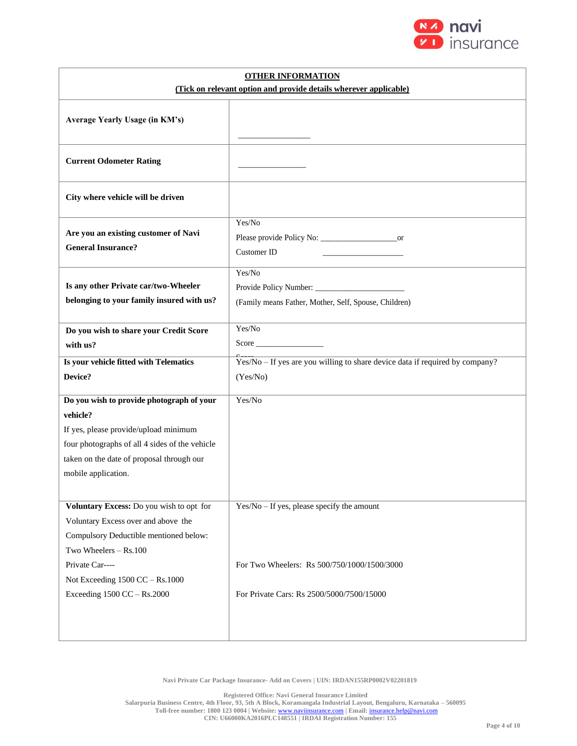

| <b>OTHER INFORMATION</b>                                                          |                                                                              |  |  |  |
|-----------------------------------------------------------------------------------|------------------------------------------------------------------------------|--|--|--|
| (Tick on relevant option and provide details wherever applicable)                 |                                                                              |  |  |  |
| Average Yearly Usage (in KM's)                                                    |                                                                              |  |  |  |
| <b>Current Odometer Rating</b>                                                    |                                                                              |  |  |  |
| City where vehicle will be driven                                                 |                                                                              |  |  |  |
| Are you an existing customer of Navi<br><b>General Insurance?</b>                 | Yes/No<br><b>Customer ID</b>                                                 |  |  |  |
| Is any other Private car/two-Wheeler<br>belonging to your family insured with us? | Yes/No<br>(Family means Father, Mother, Self, Spouse, Children)              |  |  |  |
| Do you wish to share your Credit Score                                            | Yes/No                                                                       |  |  |  |
| with us?                                                                          |                                                                              |  |  |  |
| Is your vehicle fitted with Telematics                                            | Yes/No - If yes are you willing to share device data if required by company? |  |  |  |
| Device?                                                                           | (Yes/No)                                                                     |  |  |  |
| Do you wish to provide photograph of your                                         | Yes/No                                                                       |  |  |  |
| vehicle?                                                                          |                                                                              |  |  |  |
| If yes, please provide/upload minimum                                             |                                                                              |  |  |  |
| four photographs of all 4 sides of the vehicle                                    |                                                                              |  |  |  |
| taken on the date of proposal through our                                         |                                                                              |  |  |  |
| mobile application.                                                               |                                                                              |  |  |  |
|                                                                                   |                                                                              |  |  |  |
| Voluntary Excess: Do you wish to opt for                                          | $Yes/No - If yes, please specify the amount$                                 |  |  |  |
| Voluntary Excess over and above the                                               |                                                                              |  |  |  |
| Compulsory Deductible mentioned below:                                            |                                                                              |  |  |  |
| Two Wheelers - Rs.100                                                             |                                                                              |  |  |  |
| Private Car----                                                                   | For Two Wheelers: Rs 500/750/1000/1500/3000                                  |  |  |  |
| Not Exceeding $1500$ CC $-$ Rs.1000                                               |                                                                              |  |  |  |
| Exceeding 1500 CC - Rs.2000                                                       | For Private Cars: Rs 2500/5000/7500/15000                                    |  |  |  |
|                                                                                   |                                                                              |  |  |  |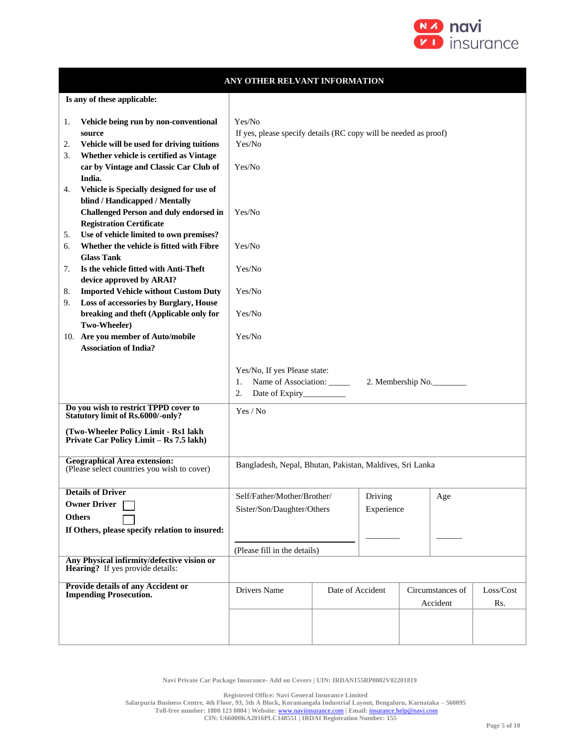

| ANY OTHER RELVANT INFORMATION                                                                                                                                                                                         |                                                                                                     |                  |            |  |                              |                  |
|-----------------------------------------------------------------------------------------------------------------------------------------------------------------------------------------------------------------------|-----------------------------------------------------------------------------------------------------|------------------|------------|--|------------------------------|------------------|
| Is any of these applicable:                                                                                                                                                                                           |                                                                                                     |                  |            |  |                              |                  |
| Vehicle being run by non-conventional<br>1.<br>source<br>Vehicle will be used for driving tuitions<br>2.<br>Whether vehicle is certified as Vintage<br>3.<br>car by Vintage and Classic Car Club of<br>India.         | Yes/No<br>If yes, please specify details (RC copy will be needed as proof)<br>Yes/No<br>Yes/No      |                  |            |  |                              |                  |
| Vehicle is Specially designed for use of<br>4.<br>blind / Handicapped / Mentally<br><b>Challenged Person and duly endorsed in</b><br><b>Registration Certificate</b><br>Use of vehicle limited to own premises?<br>5. | Yes/No                                                                                              |                  |            |  |                              |                  |
| Whether the vehicle is fitted with Fibre<br>6.<br><b>Glass Tank</b>                                                                                                                                                   | Yes/No                                                                                              |                  |            |  |                              |                  |
| Is the vehicle fitted with Anti-Theft<br>7.<br>device approved by ARAI?                                                                                                                                               | Yes/No                                                                                              |                  |            |  |                              |                  |
| <b>Imported Vehicle without Custom Duty</b><br>8.<br>Loss of accessories by Burglary, House<br>9.                                                                                                                     | Yes/No                                                                                              |                  |            |  |                              |                  |
| breaking and theft (Applicable only for<br>Two-Wheeler)                                                                                                                                                               | Yes/No                                                                                              |                  |            |  |                              |                  |
| 10. Are you member of Auto/mobile<br><b>Association of India?</b>                                                                                                                                                     | Yes/No                                                                                              |                  |            |  |                              |                  |
|                                                                                                                                                                                                                       | Yes/No, If yes Please state:<br>Name of Association: _____<br>1.<br>2.<br>Date of Expiry___________ |                  |            |  | 2. Membership No.            |                  |
| Do you wish to restrict TPPD cover to<br><b>Statutory limit of Rs.6000/-only?</b>                                                                                                                                     | Yes / No                                                                                            |                  |            |  |                              |                  |
| (Two-Wheeler Policy Limit - Rs1 lakh<br>Private Car Policy Limit - Rs 7.5 lakh)                                                                                                                                       |                                                                                                     |                  |            |  |                              |                  |
| <b>Geographical Area extension:</b><br>(Please select countries you wish to cover)                                                                                                                                    | Bangladesh, Nepal, Bhutan, Pakistan, Maldives, Sri Lanka                                            |                  |            |  |                              |                  |
| <b>Details of Driver</b><br><b>Owner Driver</b>                                                                                                                                                                       | Self/Father/Mother/Brother/                                                                         |                  | Driving    |  | $_{\rm Age}$                 |                  |
| <b>Others</b>                                                                                                                                                                                                         | Sister/Son/Daughter/Others                                                                          |                  | Experience |  |                              |                  |
| If Others, please specify relation to insured:                                                                                                                                                                        |                                                                                                     |                  |            |  |                              |                  |
| Any Physical infirmity/defective vision or                                                                                                                                                                            | (Please fill in the details)                                                                        |                  |            |  |                              |                  |
| <b>Hearing?</b> If yes provide details:                                                                                                                                                                               |                                                                                                     |                  |            |  |                              |                  |
| <b>Provide details of any Accident or</b><br><b>Impending Prosecution.</b>                                                                                                                                            | Drivers Name                                                                                        | Date of Accident |            |  | Circumstances of<br>Accident | Loss/Cost<br>Rs. |
|                                                                                                                                                                                                                       |                                                                                                     |                  |            |  |                              |                  |

**Registered Office: Navi General Insurance Limited**

**Salarpuria Business Centre, 4th Floor, 93, 5th A Block, Koramangala Industrial Layout, Bengaluru, Karnataka – 560095**

**Toll-free number: 1800 123 0004 | Website:** [www.naviinsurance.com](http://www.naviinsurance.com/) **| Email:** [insurance.help@navi.com](mailto:insurance.help@navi.com)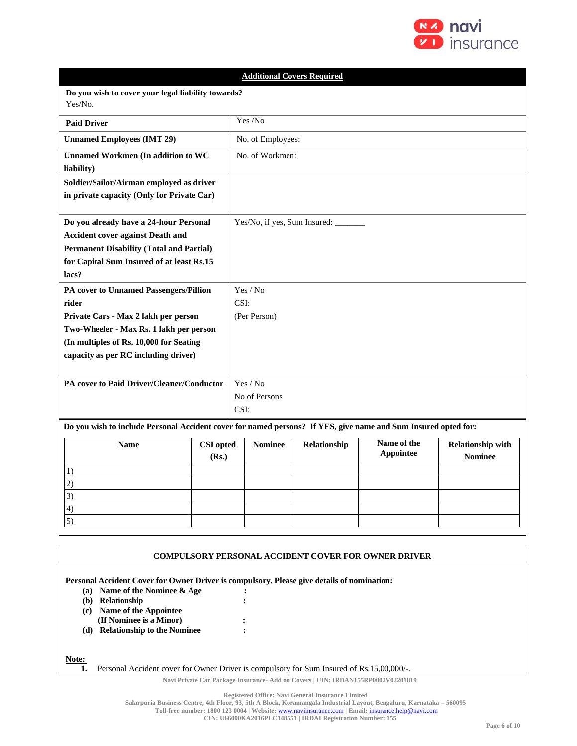

|                                                                                                                |                                                    |                                                                                                                 |                   | <b>Additional Covers Required</b>    |  |  |  |  |
|----------------------------------------------------------------------------------------------------------------|----------------------------------------------------|-----------------------------------------------------------------------------------------------------------------|-------------------|--------------------------------------|--|--|--|--|
| Yes/No.                                                                                                        | Do you wish to cover your legal liability towards? |                                                                                                                 |                   |                                      |  |  |  |  |
| <b>Paid Driver</b>                                                                                             |                                                    |                                                                                                                 | Yes /No           |                                      |  |  |  |  |
| <b>Unnamed Employees (IMT 29)</b>                                                                              |                                                    |                                                                                                                 | No. of Employees: |                                      |  |  |  |  |
| <b>Unnamed Workmen (In addition to WC</b><br>liability)                                                        |                                                    |                                                                                                                 | No. of Workmen:   |                                      |  |  |  |  |
| Soldier/Sailor/Airman employed as driver                                                                       |                                                    |                                                                                                                 |                   |                                      |  |  |  |  |
| in private capacity (Only for Private Car)                                                                     |                                                    |                                                                                                                 |                   |                                      |  |  |  |  |
| Do you already have a 24-hour Personal                                                                         |                                                    |                                                                                                                 |                   | Yes/No, if yes, Sum Insured: _______ |  |  |  |  |
| <b>Accident cover against Death and</b>                                                                        |                                                    |                                                                                                                 |                   |                                      |  |  |  |  |
| <b>Permanent Disability (Total and Partial)</b>                                                                |                                                    |                                                                                                                 |                   |                                      |  |  |  |  |
| for Capital Sum Insured of at least Rs.15<br>lacs?                                                             |                                                    |                                                                                                                 |                   |                                      |  |  |  |  |
| PA cover to Unnamed Passengers/Pillion                                                                         |                                                    | Yes / No                                                                                                        |                   |                                      |  |  |  |  |
| rider                                                                                                          |                                                    | CSI:                                                                                                            |                   |                                      |  |  |  |  |
| Private Cars - Max 2 lakh per person                                                                           |                                                    | (Per Person)                                                                                                    |                   |                                      |  |  |  |  |
| Two-Wheeler - Max Rs. 1 lakh per person<br>(In multiples of Rs. 10,000 for Seating                             |                                                    |                                                                                                                 |                   |                                      |  |  |  |  |
| capacity as per RC including driver)                                                                           |                                                    |                                                                                                                 |                   |                                      |  |  |  |  |
|                                                                                                                |                                                    |                                                                                                                 |                   |                                      |  |  |  |  |
| PA cover to Paid Driver/Cleaner/Conductor                                                                      |                                                    |                                                                                                                 | Yes / No          |                                      |  |  |  |  |
|                                                                                                                |                                                    | No of Persons                                                                                                   |                   |                                      |  |  |  |  |
|                                                                                                                |                                                    | CSI:                                                                                                            |                   |                                      |  |  |  |  |
| Do you wish to include Personal Accident cover for named persons? If YES, give name and Sum Insured opted for: |                                                    |                                                                                                                 |                   |                                      |  |  |  |  |
| <b>Name</b>                                                                                                    | <b>CSI</b> opted<br>(Rs.)                          | Name of the<br><b>Nominee</b><br><b>Relationship with</b><br>Relationship<br><b>Appointee</b><br><b>Nominee</b> |                   |                                      |  |  |  |  |
| 1)                                                                                                             |                                                    |                                                                                                                 |                   |                                      |  |  |  |  |
| 2)                                                                                                             |                                                    |                                                                                                                 |                   |                                      |  |  |  |  |
| 3)                                                                                                             |                                                    |                                                                                                                 |                   |                                      |  |  |  |  |
| 4)                                                                                                             |                                                    |                                                                                                                 |                   |                                      |  |  |  |  |
| 5)                                                                                                             |                                                    |                                                                                                                 |                   |                                      |  |  |  |  |
|                                                                                                                |                                                    |                                                                                                                 |                   |                                      |  |  |  |  |

|                                                                                            | <b>COMPULSORY PERSONAL ACCIDENT COVER FOR OWNER DRIVER</b>                                |  |  |  |  |  |
|--------------------------------------------------------------------------------------------|-------------------------------------------------------------------------------------------|--|--|--|--|--|
| Personal Accident Cover for Owner Driver is compulsory. Please give details of nomination: |                                                                                           |  |  |  |  |  |
| (a)                                                                                        | Name of the Nominee & Age                                                                 |  |  |  |  |  |
| (b)                                                                                        | Relationship                                                                              |  |  |  |  |  |
| (c)                                                                                        | Name of the Appointee                                                                     |  |  |  |  |  |
|                                                                                            | (If Nominee is a Minor)                                                                   |  |  |  |  |  |
| (d)                                                                                        | <b>Relationship to the Nominee</b>                                                        |  |  |  |  |  |
|                                                                                            |                                                                                           |  |  |  |  |  |
| Note:                                                                                      |                                                                                           |  |  |  |  |  |
|                                                                                            | Personal Accident cover for Owner Driver is compulsory for Sum Insured of Rs.15,00,000/-. |  |  |  |  |  |
| Navi Private Car Package Insurance- Add on Covers   UIN: IRDAN155RP0002V02201819           |                                                                                           |  |  |  |  |  |

**Registered Office: Navi General Insurance Limited**

**Toll-free number: 1800 123 0004 | Website:** [www.naviinsurance.com](http://www.naviinsurance.com/) **| Email:** [insurance.help@navi.com](mailto:insurance.help@navi.com)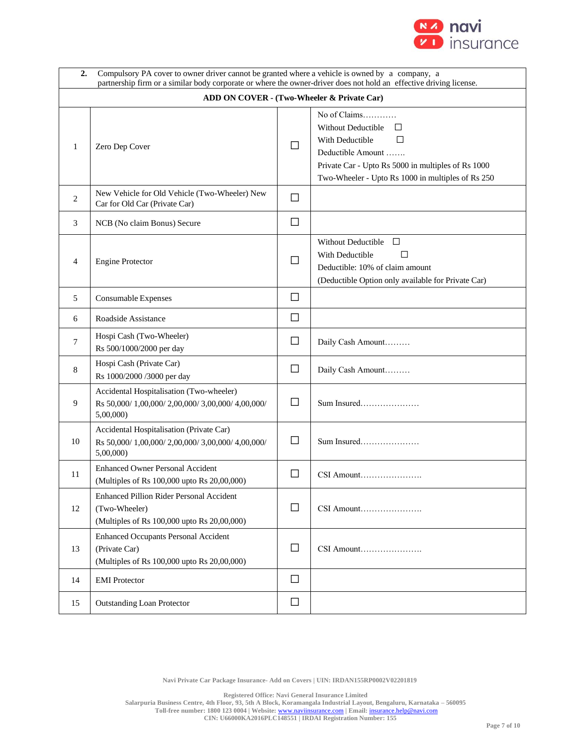

| Compulsory PA cover to owner driver cannot be granted where a vehicle is owned by a company, a<br>2.<br>partnership firm or a similar body corporate or where the owner-driver does not hold an effective driving license. |                                                                                                             |        |                                                                                                                                                                                                             |  |  |  |  |
|----------------------------------------------------------------------------------------------------------------------------------------------------------------------------------------------------------------------------|-------------------------------------------------------------------------------------------------------------|--------|-------------------------------------------------------------------------------------------------------------------------------------------------------------------------------------------------------------|--|--|--|--|
|                                                                                                                                                                                                                            | ADD ON COVER - (Two-Wheeler & Private Car)                                                                  |        |                                                                                                                                                                                                             |  |  |  |  |
| 1                                                                                                                                                                                                                          | Zero Dep Cover                                                                                              | П      | No of Claims<br><b>Without Deductible</b><br>П<br>With Deductible<br>$\Box$<br>Deductible Amount<br>Private Car - Upto Rs 5000 in multiples of Rs 1000<br>Two-Wheeler - Upto Rs 1000 in multiples of Rs 250 |  |  |  |  |
| 2                                                                                                                                                                                                                          | New Vehicle for Old Vehicle (Two-Wheeler) New<br>Car for Old Car (Private Car)                              | $\Box$ |                                                                                                                                                                                                             |  |  |  |  |
| 3                                                                                                                                                                                                                          | NCB (No claim Bonus) Secure                                                                                 | $\Box$ |                                                                                                                                                                                                             |  |  |  |  |
| 4                                                                                                                                                                                                                          | <b>Engine Protector</b>                                                                                     | $\Box$ | $\Box$<br><b>Without Deductible</b><br>With Deductible<br>$\mathsf{L}$<br>Deductible: 10% of claim amount<br>(Deductible Option only available for Private Car)                                             |  |  |  |  |
| 5                                                                                                                                                                                                                          | Consumable Expenses                                                                                         | $\Box$ |                                                                                                                                                                                                             |  |  |  |  |
| 6                                                                                                                                                                                                                          | Roadside Assistance                                                                                         | $\Box$ |                                                                                                                                                                                                             |  |  |  |  |
| 7                                                                                                                                                                                                                          | Hospi Cash (Two-Wheeler)<br>Rs 500/1000/2000 per day                                                        | $\Box$ | Daily Cash Amount                                                                                                                                                                                           |  |  |  |  |
| 8                                                                                                                                                                                                                          | Hospi Cash (Private Car)<br>Rs 1000/2000 /3000 per day                                                      | □      | Daily Cash Amount                                                                                                                                                                                           |  |  |  |  |
| 9                                                                                                                                                                                                                          | Accidental Hospitalisation (Two-wheeler)<br>Rs 50,000/1,00,000/2,00,000/3,00,000/4,00,000/<br>5,00,000      | $\Box$ |                                                                                                                                                                                                             |  |  |  |  |
| 10                                                                                                                                                                                                                         | Accidental Hospitalisation (Private Car)<br>Rs 50,000/1,00,000/2,00,000/3,00,000/4,00,000/<br>5,00,000      | $\Box$ | Sum Insured                                                                                                                                                                                                 |  |  |  |  |
| 11                                                                                                                                                                                                                         | <b>Enhanced Owner Personal Accident</b><br>(Multiples of Rs 100,000 upto Rs 20,00,000)                      | $\Box$ | CSI Amount                                                                                                                                                                                                  |  |  |  |  |
| 12                                                                                                                                                                                                                         | Enhanced Pillion Rider Personal Accident<br>(Two-Wheeler)<br>(Multiples of Rs 100,000 upto Rs 20,00,000)    | □      | CSI Amount                                                                                                                                                                                                  |  |  |  |  |
| 13                                                                                                                                                                                                                         | <b>Enhanced Occupants Personal Accident</b><br>(Private Car)<br>(Multiples of Rs 100,000 upto Rs 20,00,000) | $\Box$ | CSI Amount                                                                                                                                                                                                  |  |  |  |  |
| 14                                                                                                                                                                                                                         | <b>EMI</b> Protector                                                                                        | $\Box$ |                                                                                                                                                                                                             |  |  |  |  |
| 15                                                                                                                                                                                                                         | <b>Outstanding Loan Protector</b>                                                                           | $\Box$ |                                                                                                                                                                                                             |  |  |  |  |

**Registered Office: Navi General Insurance Limited**

**Salarpuria Business Centre, 4th Floor, 93, 5th A Block, Koramangala Industrial Layout, Bengaluru, Karnataka – 560095**

**Toll-free number: 1800 123 0004 | Website:** [www.naviinsurance.com](http://www.naviinsurance.com/) **| Email:** [insurance.help@navi.com](mailto:insurance.help@navi.com)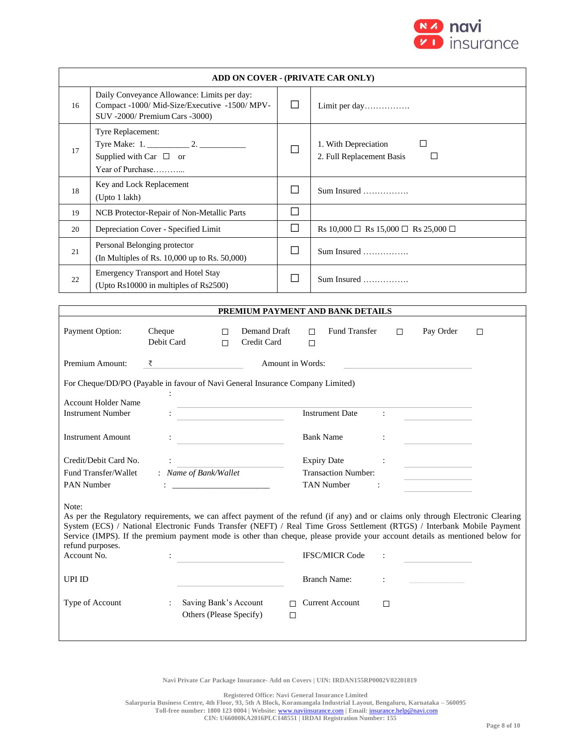

|                                                                                                                                                                                                                                                                                                                                                                                                                                                                 | ADD ON COVER - (PRIVATE CAR ONLY)                                                                                              |        |                                                             |  |  |  |  |
|-----------------------------------------------------------------------------------------------------------------------------------------------------------------------------------------------------------------------------------------------------------------------------------------------------------------------------------------------------------------------------------------------------------------------------------------------------------------|--------------------------------------------------------------------------------------------------------------------------------|--------|-------------------------------------------------------------|--|--|--|--|
| 16                                                                                                                                                                                                                                                                                                                                                                                                                                                              | Daily Conveyance Allowance: Limits per day:<br>Compact -1000/ Mid-Size/Executive -1500/ MPV-<br>SUV -2000/ Premium Cars -3000) | $\Box$ | Limit per day                                               |  |  |  |  |
| 17                                                                                                                                                                                                                                                                                                                                                                                                                                                              | Tyre Replacement:<br>Supplied with Car $\Box$ or<br>Year of Purchase                                                           | $\Box$ | 1. With Depreciation<br>□<br>2. Full Replacement Basis<br>□ |  |  |  |  |
| 18                                                                                                                                                                                                                                                                                                                                                                                                                                                              | Key and Lock Replacement<br>(Upto 1 lakh)                                                                                      | $\Box$ |                                                             |  |  |  |  |
| 19                                                                                                                                                                                                                                                                                                                                                                                                                                                              | NCB Protector-Repair of Non-Metallic Parts                                                                                     | $\Box$ |                                                             |  |  |  |  |
| 20                                                                                                                                                                                                                                                                                                                                                                                                                                                              | Depreciation Cover - Specified Limit                                                                                           | $\Box$ | Rs 10,000 $\Box$ Rs 15,000 $\Box$ Rs 25,000 $\Box$          |  |  |  |  |
| 21                                                                                                                                                                                                                                                                                                                                                                                                                                                              | Personal Belonging protector<br>(In Multiples of Rs. 10,000 up to Rs. 50,000)                                                  | □      | Sum Insured                                                 |  |  |  |  |
| 22                                                                                                                                                                                                                                                                                                                                                                                                                                                              | <b>Emergency Transport and Hotel Stay</b><br>(Upto Rs10000 in multiples of Rs2500)                                             | $\Box$ | Sum Insured                                                 |  |  |  |  |
|                                                                                                                                                                                                                                                                                                                                                                                                                                                                 |                                                                                                                                |        |                                                             |  |  |  |  |
| PREMIUM PAYMENT AND BANK DETAILS<br>Payment Option:<br>Demand Draft<br>Fund Transfer<br>Cheque<br>Pay Order<br>П<br>$\Box$<br>П<br>□<br>Debit Card<br>Credit Card<br>$\Box$<br>$\Box$<br>Premium Amount:<br>Amount in Words:<br>₹<br>For Cheque/DD/PO (Payable in favour of Navi General Insurance Company Limited)                                                                                                                                             |                                                                                                                                |        |                                                             |  |  |  |  |
|                                                                                                                                                                                                                                                                                                                                                                                                                                                                 | <b>Account Holder Name</b><br><b>Instrument Number</b>                                                                         |        | <b>Instrument Date</b><br>$\ddot{\phantom{a}}$              |  |  |  |  |
|                                                                                                                                                                                                                                                                                                                                                                                                                                                                 | <b>Instrument Amount</b>                                                                                                       |        | <b>Bank Name</b>                                            |  |  |  |  |
|                                                                                                                                                                                                                                                                                                                                                                                                                                                                 | Credit/Debit Card No.                                                                                                          |        | <b>Expiry Date</b>                                          |  |  |  |  |
|                                                                                                                                                                                                                                                                                                                                                                                                                                                                 | : Name of Bank/Wallet<br>Fund Transfer/Wallet                                                                                  |        | <b>Transaction Number:</b>                                  |  |  |  |  |
| PAN Number                                                                                                                                                                                                                                                                                                                                                                                                                                                      |                                                                                                                                |        | TAN Number                                                  |  |  |  |  |
| Note:<br>As per the Regulatory requirements, we can affect payment of the refund (if any) and or claims only through Electronic Clearing<br>System (ECS) / National Electronic Funds Transfer (NEFT) / Real Time Gross Settlement (RTGS) / Interbank Mobile Payment<br>Service (IMPS). If the premium payment mode is other than cheque, please provide your account details as mentioned below for<br>refund purposes.<br>Account No.<br><b>IFSC/MICR Code</b> |                                                                                                                                |        |                                                             |  |  |  |  |
| UPI ID                                                                                                                                                                                                                                                                                                                                                                                                                                                          |                                                                                                                                |        | <b>Branch Name:</b>                                         |  |  |  |  |
|                                                                                                                                                                                                                                                                                                                                                                                                                                                                 | Type of Account<br>Saving Bank's Account<br>Others (Please Specify)                                                            | $\Box$ | $\Box$ Current Account<br>□                                 |  |  |  |  |

**Registered Office: Navi General Insurance Limited**

**Salarpuria Business Centre, 4th Floor, 93, 5th A Block, Koramangala Industrial Layout, Bengaluru, Karnataka – 560095**

**Toll-free number: 1800 123 0004 | Website:** [www.naviinsurance.com](http://www.naviinsurance.com/) **| Email:** [insurance.help@navi.com](mailto:insurance.help@navi.com)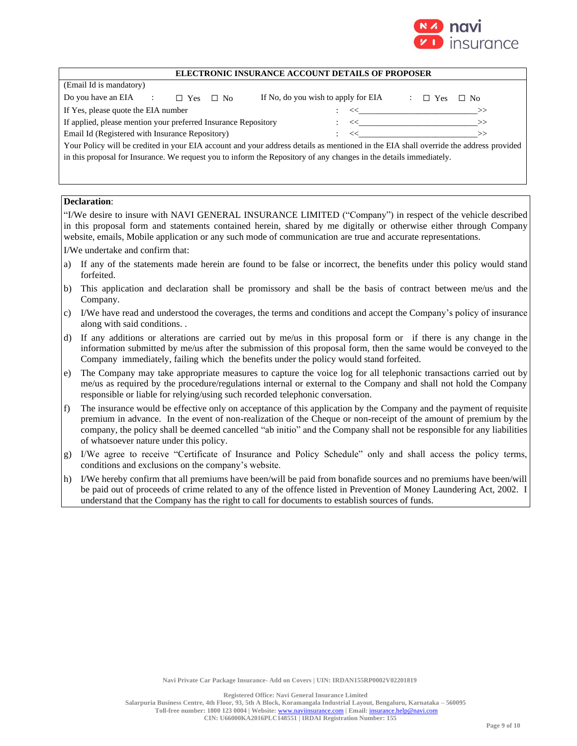

| (Email Id is mandatory)                                                                                                               |                                     |                                                                                          |  |  |  |  |
|---------------------------------------------------------------------------------------------------------------------------------------|-------------------------------------|------------------------------------------------------------------------------------------|--|--|--|--|
| Do you have an EIA<br>$\mathcal{L} = \{1, \ldots, n\}$<br>$\Box$ Yes<br>$\Box$ No                                                     | If No, do you wish to apply for EIA | $\Box$ Yes<br>$\Box$ No                                                                  |  |  |  |  |
| If Yes, please quote the EIA number                                                                                                   |                                     | : << >>>>>>>>                                                                            |  |  |  |  |
| If applied, please mention your preferred Insurance Repository                                                                        |                                     | $\begin{array}{ccccc} \cdot & \cdot & \cdot & \cdot & \cdot & \cdot & \cdot \end{array}$ |  |  |  |  |
| Email Id (Registered with Insurance Repository)                                                                                       |                                     | $\begin{array}{ccc} \cdot & \prec & \cdot & \cdot & \cdot & \cdot \end{array}$           |  |  |  |  |
| Your Policy will be credited in your EIA account and your address details as mentioned in the EIA shall override the address provided |                                     |                                                                                          |  |  |  |  |
| in this proposal for Insurance. We request you to inform the Repository of any changes in the details immediately.                    |                                     |                                                                                          |  |  |  |  |

# **Declaration**:

"I/We desire to insure with NAVI GENERAL INSURANCE LIMITED ("Company") in respect of the vehicle described in this proposal form and statements contained herein, shared by me digitally or otherwise either through Company website, emails, Mobile application or any such mode of communication are true and accurate representations.

I/We undertake and confirm that:

- a) If any of the statements made herein are found to be false or incorrect, the benefits under this policy would stand forfeited.
- b) This application and declaration shall be promissory and shall be the basis of contract between me/us and the Company.
- c) I/We have read and understood the coverages, the terms and conditions and accept the Company's policy of insurance along with said conditions. .
- d) If any additions or alterations are carried out by me/us in this proposal form or if there is any change in the information submitted by me/us after the submission of this proposal form, then the same would be conveyed to the Company immediately, failing which the benefits under the policy would stand forfeited.
- e) The Company may take appropriate measures to capture the voice log for all telephonic transactions carried out by me/us as required by the procedure/regulations internal or external to the Company and shall not hold the Company responsible or liable for relying/using such recorded telephonic conversation.
- f) The insurance would be effective only on acceptance of this application by the Company and the payment of requisite premium in advance. In the event of non-realization of the Cheque or non-receipt of the amount of premium by the company, the policy shall be deemed cancelled "ab initio" and the Company shall not be responsible for any liabilities of whatsoever nature under this policy.
- g) I/We agree to receive "Certificate of Insurance and Policy Schedule" only and shall access the policy terms, conditions and exclusions on the company's website.
- h) I/We hereby confirm that all premiums have been/will be paid from bonafide sources and no premiums have been/will be paid out of proceeds of crime related to any of the offence listed in Prevention of Money Laundering Act, 2002. I understand that the Company has the right to call for documents to establish sources of funds.

**Registered Office: Navi General Insurance Limited**

**Salarpuria Business Centre, 4th Floor, 93, 5th A Block, Koramangala Industrial Layout, Bengaluru, Karnataka – 560095 Toll-free number: 1800 123 0004 | Website:** [www.naviinsurance.com](http://www.naviinsurance.com/) **| Email:** [insurance.help@navi.com](mailto:insurance.help@navi.com)